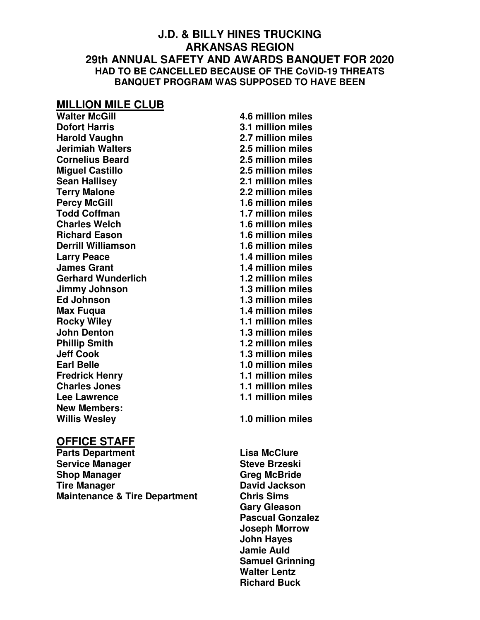#### **J.D. & BILLY HINES TRUCKING ARKANSAS REGION 29th ANNUAL SAFETY AND AWARDS BANQUET FOR 2020 HAD TO BE CANCELLED BECAUSE OF THE CoViD-19 THREATS BANQUET PROGRAM WAS SUPPOSED TO HAVE BEEN**

# **MILLION MILE CLUB**

**Dofort Harris 2.1 million miles Harold Vaughn 2.7 million miles Jerimiah Walters 2.5 million miles Cornelius Beard 2.5 million miles Miguel Castillo 2.5 million miles Sean Hallisey 2.1 million miles Terry Malone 2.2 million miles Todd Coffman 1.7 million miles Charles Welch 1.6 million miles Richard Eason 1.6 million miles Derrill Williamson 1.6 million miles Larry Peace 1.4 million miles James Grant 1.4 million miles Gerhard Wunderlich 1.2 million miles Jimmy Johnson 1.3 million miles Ed Johnson 1.3 million miles Max Fuqua 1.4 million miles Rocky Wiley 1.1 million miles John Denton 1.3 million miles Phillip Smith 1.2 million miles Jeff Cook 1.3 million miles Earl Belle 1.0 million miles Fredrick Henry 1.1 million miles Charles Jones 1.1 million miles Lee Lawrence 1.1 million miles New Members: Willis Wesley 1.0 million miles** 

**Walter McGill 4.6 million miles Percy McGill 1.6 million miles** 

#### **OFFICE STAFF**

**Parts Department Contract Contract Contract Contract Contract Contract Contract Contract Contract Contract Contract Contract Contract Contract Contract Contract Contract Contract Contract Contract Contract Contract Contra Service Manager Steve Brzeski Shop Manager Greg McBride Tire Manager Communist Communist Communist Communist Communist Communist Communist Communist Communist Communist Communist Communist Communist Communist Communist Communist Communist Communist Communist Communist Communis Maintenance & Tire Department Chris Sims** 

**Gary Gleason Pascual Gonzalez Joseph Morrow John Hayes Jamie Auld Samuel Grinning Walter Lentz Richard Buck**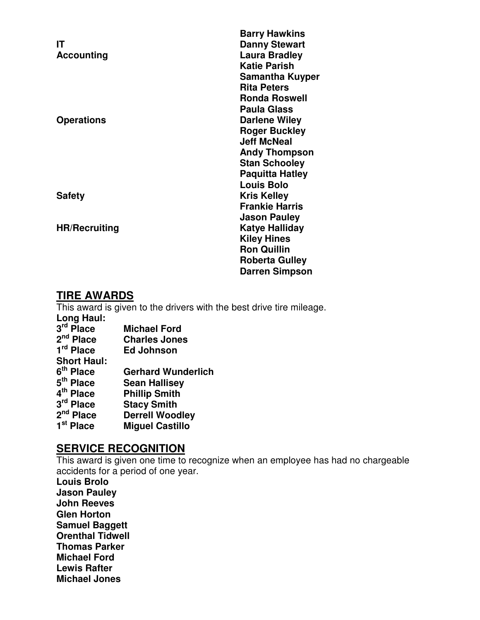|                      | <b>Barry Hawkins</b>   |
|----------------------|------------------------|
| ΙT                   | <b>Danny Stewart</b>   |
| <b>Accounting</b>    | <b>Laura Bradley</b>   |
|                      | <b>Katie Parish</b>    |
|                      | <b>Samantha Kuyper</b> |
|                      | <b>Rita Peters</b>     |
|                      | <b>Ronda Roswell</b>   |
|                      | <b>Paula Glass</b>     |
| <b>Operations</b>    | <b>Darlene Wiley</b>   |
|                      | <b>Roger Buckley</b>   |
|                      | <b>Jeff McNeal</b>     |
|                      | <b>Andy Thompson</b>   |
|                      | <b>Stan Schooley</b>   |
|                      | <b>Paquitta Hatley</b> |
|                      | <b>Louis Bolo</b>      |
| <b>Safety</b>        | <b>Kris Kelley</b>     |
|                      | <b>Frankie Harris</b>  |
|                      | <b>Jason Pauley</b>    |
| <b>HR/Recruiting</b> | Katye Halliday         |
|                      | <b>Kiley Hines</b>     |
|                      | <b>Ron Quillin</b>     |
|                      | <b>Roberta Gulley</b>  |
|                      | <b>Darren Simpson</b>  |
|                      |                        |

#### **TIRE AWARDS**

This award is given to the drivers with the best drive tire mileage. **Long Haul:**  3<sup>rd</sup> Place **Michael Ford** 2<sup>nd</sup> Place **Charles Jones** 1<sup>rd</sup> Place *<u>Ed Johnson</u>* **Short Haul:**  6<sup>th</sup> Place **Gerhard Wunderlich** 5<sup>th</sup> Place **Sean Hallisey 4 Phillip Smith** 3<sup>rd</sup> Place **Stacy Smith** 2<sup>nd</sup> Place **Derrell Woodley** 1<sup>st</sup> Place **Miguel Castillo** 

# **SERVICE RECOGNITION**

This award is given one time to recognize when an employee has had no chargeable accidents for a period of one year.

**Louis Brolo Jason Pauley John Reeves Glen Horton Samuel Baggett Orenthal Tidwell Thomas Parker Michael Ford Lewis Rafter Michael Jones**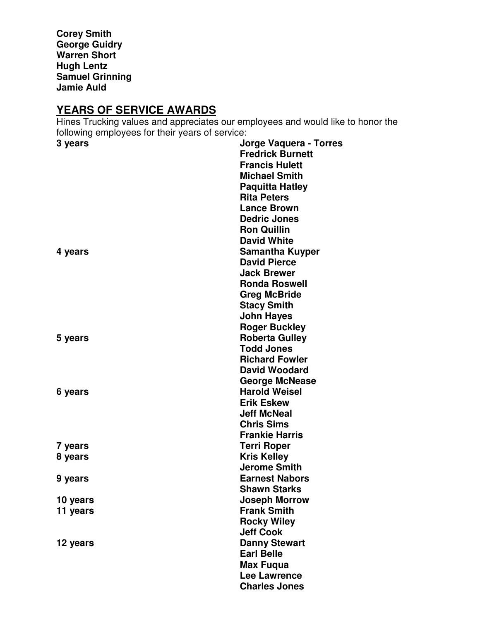**Corey Smith George Guidry Warren Short Hugh Lentz Samuel Grinning Jamie Auld** 

# **YEARS OF SERVICE AWARDS**

Hines Trucking values and appreciates our employees and would like to honor the following employees for their years of service:

| 3 years  | Jorge Vaquera - Torres  |
|----------|-------------------------|
|          | <b>Fredrick Burnett</b> |
|          | <b>Francis Hulett</b>   |
|          | <b>Michael Smith</b>    |
|          | <b>Paquitta Hatley</b>  |
|          | <b>Rita Peters</b>      |
|          | <b>Lance Brown</b>      |
|          | <b>Dedric Jones</b>     |
|          | <b>Ron Quillin</b>      |
|          | <b>David White</b>      |
| 4 years  | <b>Samantha Kuyper</b>  |
|          | <b>David Pierce</b>     |
|          | <b>Jack Brewer</b>      |
|          | <b>Ronda Roswell</b>    |
|          | <b>Greg McBride</b>     |
|          | <b>Stacy Smith</b>      |
|          | <b>John Hayes</b>       |
|          | <b>Roger Buckley</b>    |
| 5 years  | <b>Roberta Gulley</b>   |
|          | <b>Todd Jones</b>       |
|          | <b>Richard Fowler</b>   |
|          | <b>David Woodard</b>    |
|          | <b>George McNease</b>   |
| 6 years  | <b>Harold Weisel</b>    |
|          | <b>Erik Eskew</b>       |
|          | <b>Jeff McNeal</b>      |
|          | <b>Chris Sims</b>       |
|          | <b>Frankie Harris</b>   |
| 7 years  | <b>Terri Roper</b>      |
| 8 years  | <b>Kris Kelley</b>      |
|          | <b>Jerome Smith</b>     |
| 9 years  | <b>Earnest Nabors</b>   |
|          | <b>Shawn Starks</b>     |
| 10 years | <b>Joseph Morrow</b>    |
| 11 years | <b>Frank Smith</b>      |
|          | <b>Rocky Wiley</b>      |
|          | <b>Jeff Cook</b>        |
| 12 years | <b>Danny Stewart</b>    |
|          | <b>Earl Belle</b>       |
|          | <b>Max Fuqua</b>        |
|          | <b>Lee Lawrence</b>     |
|          | <b>Charles Jones</b>    |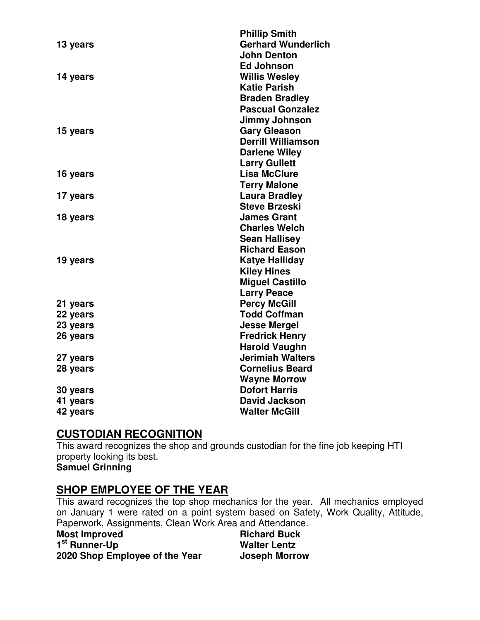|          | <b>Phillip Smith</b>      |
|----------|---------------------------|
| 13 years | <b>Gerhard Wunderlich</b> |
|          | <b>John Denton</b>        |
|          | <b>Ed Johnson</b>         |
| 14 years | <b>Willis Wesley</b>      |
|          | <b>Katie Parish</b>       |
|          | <b>Braden Bradley</b>     |
|          | <b>Pascual Gonzalez</b>   |
|          | Jimmy Johnson             |
| 15 years | <b>Gary Gleason</b>       |
|          | <b>Derrill Williamson</b> |
|          | <b>Darlene Wiley</b>      |
|          | <b>Larry Gullett</b>      |
| 16 years | <b>Lisa McClure</b>       |
|          | <b>Terry Malone</b>       |
| 17 years | <b>Laura Bradley</b>      |
|          | <b>Steve Brzeski</b>      |
| 18 years | <b>James Grant</b>        |
|          | <b>Charles Welch</b>      |
|          | <b>Sean Hallisey</b>      |
|          | <b>Richard Eason</b>      |
| 19 years | <b>Katye Halliday</b>     |
|          | <b>Kiley Hines</b>        |
|          | <b>Miguel Castillo</b>    |
|          | <b>Larry Peace</b>        |
| 21 years | <b>Percy McGill</b>       |
| 22 years | <b>Todd Coffman</b>       |
| 23 years | <b>Jesse Mergel</b>       |
| 26 years | <b>Fredrick Henry</b>     |
|          | <b>Harold Vaughn</b>      |
| 27 years | <b>Jerimiah Walters</b>   |
| 28 years | <b>Cornelius Beard</b>    |
|          | <b>Wayne Morrow</b>       |
| 30 years | <b>Dofort Harris</b>      |
| 41 years | <b>David Jackson</b>      |
| 42 years | <b>Walter McGill</b>      |
|          |                           |

## **CUSTODIAN RECOGNITION**

This award recognizes the shop and grounds custodian for the fine job keeping HTI property looking its best.

# **Samuel Grinning**

#### **SHOP EMPLOYEE OF THE YEAR**

This award recognizes the top shop mechanics for the year. All mechanics employed on January 1 were rated on a point system based on Safety, Work Quality, Attitude, Paperwork, Assignments, Clean Work Area and Attendance.

| <b>Most Improved</b>           | <b>Richard Buck</b>  |
|--------------------------------|----------------------|
| 1 <sup>st</sup> Runner-Up      | <b>Walter Lentz</b>  |
| 2020 Shop Employee of the Year | <b>Joseph Morrow</b> |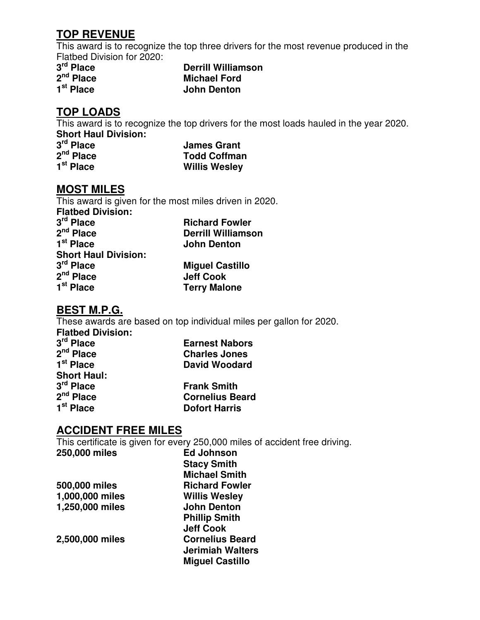#### **TOP REVENUE**

This award is to recognize the top three drivers for the most revenue produced in the Flatbed Division for 2020:

3<sup>rd</sup> Place 2<sup>nd</sup> Place 1<sup>st</sup> Place

**Derrill Williamson Michael Ford John Denton** 

## **TOP LOADS**

This award is to recognize the top drivers for the most loads hauled in the year 2020. **Short Haul Division:** 

| 3 <sup>rd</sup> Place | <b>James Grant</b>   |
|-----------------------|----------------------|
| 2 <sup>nd</sup> Place | <b>Todd Coffman</b>  |
| 1 <sup>st</sup> Place | <b>Willis Wesley</b> |

#### **MOST MILES**

This award is given for the most miles driven in 2020. **Flatbed Division: 3 Richard Fowler 2 Derrill Williamson** 1<sup>st</sup> Place **John Denton** 

| SNOR HAUI DIVISION.   |                        |
|-----------------------|------------------------|
| 3 <sup>rd</sup> Place | <b>Miquel Castillo</b> |
| 2 <sup>nd</sup> Place | <b>Jeff Cook</b>       |
| 1 <sup>st</sup> Place | <b>Terry Malone</b>    |

#### **BEST M.P.G.**

**Short Haul Division:** 

These awards are based on top individual miles per gallon for 2020.

| <b>Earnest Nabors</b>  |
|------------------------|
| <b>Charles Jones</b>   |
| <b>David Woodard</b>   |
|                        |
| <b>Frank Smith</b>     |
| <b>Cornelius Beard</b> |
| <b>Dofort Harris</b>   |
|                        |

#### **ACCIDENT FREE MILES**

This certificate is given for every 250,000 miles of accident free driving.

| 250,000 miles   | <b>Ed Johnson</b>       |
|-----------------|-------------------------|
|                 | <b>Stacy Smith</b>      |
|                 | <b>Michael Smith</b>    |
| 500,000 miles   | <b>Richard Fowler</b>   |
| 1,000,000 miles | <b>Willis Wesley</b>    |
| 1,250,000 miles | <b>John Denton</b>      |
|                 | <b>Phillip Smith</b>    |
|                 | <b>Jeff Cook</b>        |
| 2,500,000 miles | <b>Cornelius Beard</b>  |
|                 | <b>Jerimiah Walters</b> |
|                 | <b>Miguel Castillo</b>  |
|                 |                         |